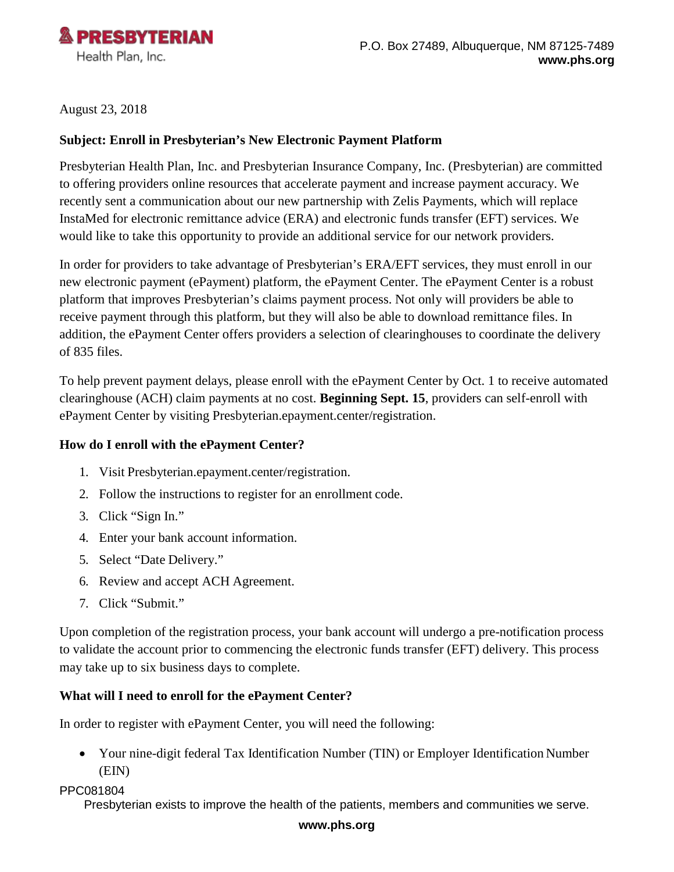

August 23, 2018

## **Subject: Enroll in Presbyterian's New Electronic Payment Platform**

Presbyterian Health Plan, Inc. and Presbyterian Insurance Company, Inc. (Presbyterian) are committed to offering providers online resources that accelerate payment and increase payment accuracy. We recently sent a communication about our new partnership with Zelis Payments, which will replace InstaMed for electronic remittance advice (ERA) and electronic funds transfer (EFT) services. We would like to take this opportunity to provide an additional service for our network providers.

In order for providers to take advantage of Presbyterian's ERA/EFT services, they must enroll in our new electronic payment (ePayment) platform, the ePayment Center. The ePayment Center is a robust platform that improves Presbyterian's claims payment process. Not only will providers be able to receive payment through this platform, but they will also be able to download remittance files. In addition, the ePayment Center offers providers a selection of clearinghouses to coordinate the delivery of 835 files.

To help prevent payment delays, please enroll with the ePayment Center by Oct. 1 to receive automated clearinghouse (ACH) claim payments at no cost. **Beginning Sept. 15**, providers can self-enroll with ePayment Center by visiting Presbyterian.epayment.center/registration.

#### **How do I enroll with the ePayment Center?**

- 1. Visit Presbyterian.epayment.center/registration.
- 2. Follow the instructions to register for an enrollment code.
- 3. Click "Sign In."
- 4. Enter your bank account information.
- 5. Select "Date Delivery."
- 6. Review and accept ACH Agreement.
- 7. Click "Submit."

Upon completion of the registration process, your bank account will undergo a pre-notification process to validate the account prior to commencing the electronic funds transfer (EFT) delivery. This process may take up to six business days to complete.

#### **What will I need to enroll for the ePayment Center?**

In order to register with ePayment Center, you will need the following:

• Your nine-digit federal Tax Identification Number (TIN) or Employer Identification Number (EIN)

#### PPC081804

Presbyterian exists to improve the health of the patients, members and communities we serve.